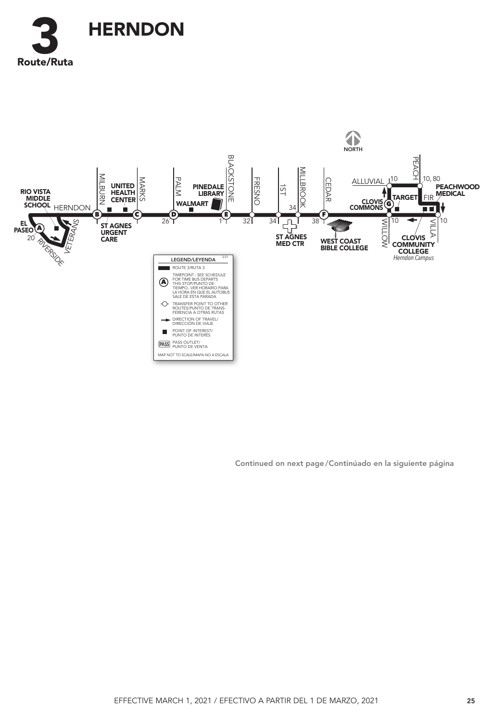



Continued on next page / Continúado en la siguiente página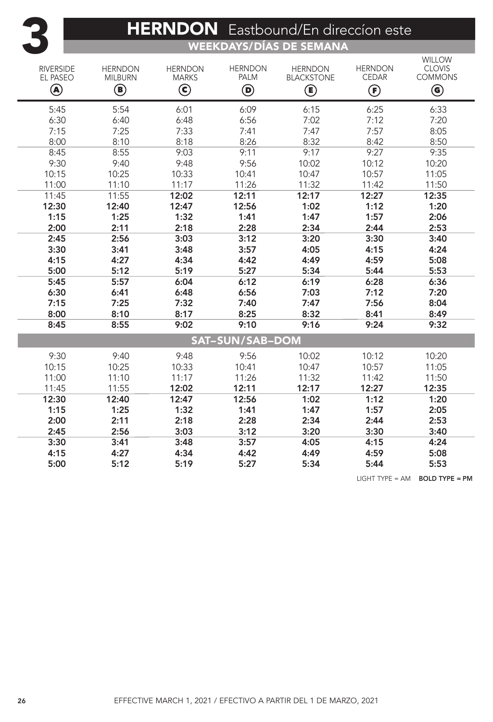## HERNDON Eastbound/En direccion este

WEEKDAYS/DÍAS DE SEMANA

| <b>RIVERSIDE</b><br>EL PASEO<br>◉ | <b>HERNDON</b><br><b>MILBURN</b><br>$\textcircled{\scriptsize{\textsf{B}}}$ | <b>HERNDON</b><br><b>MARKS</b><br>$\bm{\mathsf{\odot}}$ | <b>HERNDON</b><br><b>PALM</b><br>$\bm{\mathsf{\Theta}}$ | <b>HERNDON</b><br><b>BLACKSTONE</b><br>◉ | <b>HERNDON</b><br><b>CEDAR</b><br>$\bm{\mathop{\textcircled{\textsf{F}}}}$ | <b>WILLOW</b><br><b>CLOVIS</b><br><b>COMMONS</b><br>$\bf G$ |  |  |  |  |
|-----------------------------------|-----------------------------------------------------------------------------|---------------------------------------------------------|---------------------------------------------------------|------------------------------------------|----------------------------------------------------------------------------|-------------------------------------------------------------|--|--|--|--|
| 5:45                              | 5:54                                                                        | 6:01                                                    | 6:09                                                    | 6:15                                     | 6:25                                                                       | 6:33                                                        |  |  |  |  |
| 6:30                              | 6:40                                                                        | 6:48                                                    | 6:56                                                    | 7:02                                     | 7:12                                                                       | 7:20                                                        |  |  |  |  |
| 7:15                              | 7:25                                                                        | 7:33                                                    | 7:41                                                    | 7:47                                     | 7:57                                                                       | 8:05                                                        |  |  |  |  |
| 8:00                              | 8:10                                                                        | 8:18                                                    | 8:26                                                    | 8:32                                     | 8:42                                                                       | 8:50                                                        |  |  |  |  |
| 8:45                              | 8:55                                                                        | 9:03                                                    | 9:11                                                    | 9:17                                     | 9:27                                                                       | 9:35                                                        |  |  |  |  |
| 9:30                              | 9:40                                                                        | 9:48                                                    | 9:56                                                    | 10:02                                    | 10:12                                                                      | 10:20                                                       |  |  |  |  |
| 10:15                             | 10:25                                                                       | 10:33                                                   | 10:41                                                   | 10:47                                    | 10:57                                                                      | 11:05                                                       |  |  |  |  |
| 11:00                             | 11:10                                                                       | 11:17                                                   | 11:26                                                   | 11:32                                    | 11:42                                                                      | 11:50                                                       |  |  |  |  |
| 11:45                             | 11:55                                                                       | 12:02                                                   | 12:11                                                   | 12:17                                    | 12:27                                                                      | 12:35                                                       |  |  |  |  |
| 12:30                             | 12:40                                                                       | 12:47                                                   | 12:56                                                   | 1:02                                     | 1:12                                                                       | 1:20                                                        |  |  |  |  |
| 1:15                              | 1:25                                                                        | 1:32                                                    | 1:41                                                    | 1:47                                     | 1:57                                                                       | 2:06                                                        |  |  |  |  |
| 2:00                              | 2:11                                                                        | 2:18                                                    | 2:28                                                    | 2:34                                     | 2:44                                                                       | 2:53                                                        |  |  |  |  |
| 2:45                              | 2:56                                                                        | 3:03                                                    | 3:12                                                    | 3:20                                     | 3:30                                                                       | 3:40                                                        |  |  |  |  |
| 3:30                              | 3:41                                                                        | 3:48                                                    | 3:57                                                    | 4:05                                     | 4:15                                                                       | 4:24                                                        |  |  |  |  |
| 4:15                              | 4:27                                                                        | 4:34                                                    | 4:42                                                    | 4:49                                     | 4:59                                                                       | 5:08                                                        |  |  |  |  |
| 5:00                              | 5:12                                                                        | 5:19                                                    | 5:27                                                    | 5:34                                     | 5:44                                                                       | 5:53                                                        |  |  |  |  |
| 5:45                              | 5:57                                                                        | 6:04                                                    | 6:12                                                    | 6:19                                     | 6:28                                                                       | 6:36                                                        |  |  |  |  |
| 6:30                              | 6:41                                                                        | 6:48                                                    | 6:56                                                    | 7:03                                     | 7:12                                                                       | 7:20                                                        |  |  |  |  |
| 7:15                              | 7:25                                                                        | 7:32                                                    | 7:40                                                    | 7:47                                     | 7:56                                                                       | 8:04                                                        |  |  |  |  |
| 8:00                              | 8:10                                                                        | 8:17                                                    | 8:25                                                    | 8:32                                     | 8:41                                                                       | 8:49                                                        |  |  |  |  |
| 8:45                              | 8:55                                                                        | 9:02                                                    | 9:10                                                    | 9:16                                     | 9:24                                                                       | 9:32                                                        |  |  |  |  |
| <b>SAT-SUN/SAB-DOM</b>            |                                                                             |                                                         |                                                         |                                          |                                                                            |                                                             |  |  |  |  |
| 9:30                              | 9:40                                                                        | 9:48                                                    | 9:56                                                    | 10:02                                    | 10:12                                                                      | 10:20                                                       |  |  |  |  |
| 10:15                             | 10:25                                                                       | 10:33                                                   | 10:41                                                   | 10:47                                    | 10:57                                                                      | 11:05                                                       |  |  |  |  |
| 11:00                             | 11:10                                                                       | 11:17                                                   | 11:26                                                   | 11:32                                    | 11:42                                                                      | 11:50                                                       |  |  |  |  |
| 11:45                             | 11:55                                                                       | 12:02                                                   | 12:11                                                   | 12:17                                    | 12:27                                                                      | 12:35                                                       |  |  |  |  |
| 12:30                             | 12:40                                                                       | 12:47                                                   | 12:56                                                   | 1:02                                     | 1:12                                                                       | 1:20                                                        |  |  |  |  |
| 1:15                              | 1:25                                                                        | 1:32                                                    | 1:41                                                    | 1:47                                     | 1:57                                                                       | 2:05                                                        |  |  |  |  |
| 2:00                              | 2:11                                                                        | 2:18                                                    | 2:28                                                    | 2:34                                     | 2:44                                                                       | 2:53                                                        |  |  |  |  |
| 2:45                              | 2:56                                                                        | 3:03                                                    | 3:12                                                    | 3:20                                     | 3:30                                                                       | 3:40                                                        |  |  |  |  |
| 3:30                              | 3:41                                                                        | 3:48                                                    | 3:57                                                    | 4:05                                     | 4:15                                                                       | 4:24                                                        |  |  |  |  |
| 4:15                              | 4:27                                                                        | 4:34                                                    | 4:42                                                    | 4:49                                     | 4:59                                                                       | 5:08                                                        |  |  |  |  |
| 5:00                              | 5:12                                                                        | 5:19                                                    | 5:27                                                    | 5:34                                     | 5:44                                                                       | 5:53                                                        |  |  |  |  |

LIGHT TYPE = AM BOLD TYPE = PM

3